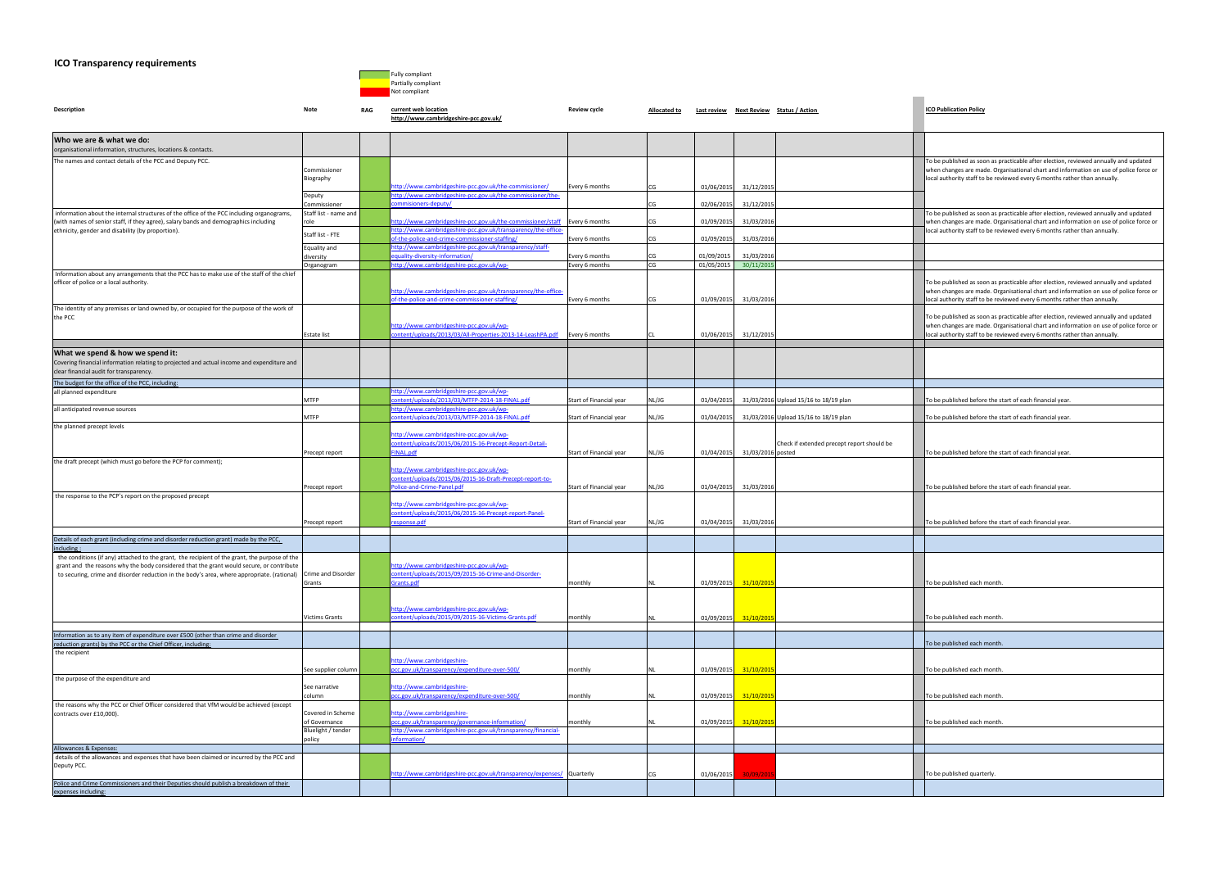## **ICO Transparency requirements**



| <b>Description</b>                                                                                                 | Note                                  | RAG | current web location<br>http://www.cambridgeshire-pcc.gov.uk/                                         | Review cycle            | Allocated to |            |                   | Last review Next Review Status / Action    | <b>ICO Publication Policy</b>                                                                                                                                  |
|--------------------------------------------------------------------------------------------------------------------|---------------------------------------|-----|-------------------------------------------------------------------------------------------------------|-------------------------|--------------|------------|-------------------|--------------------------------------------|----------------------------------------------------------------------------------------------------------------------------------------------------------------|
| Who we are & what we do:<br>organisational information, structures, locations & contacts.                          |                                       |     |                                                                                                       |                         |              |            |                   |                                            |                                                                                                                                                                |
| The names and contact details of the PCC and Deputy PCC.                                                           |                                       |     |                                                                                                       |                         |              |            |                   |                                            | To be published as soon as practicable after election, reviewed annually and updated                                                                           |
|                                                                                                                    | Commissioner                          |     |                                                                                                       |                         |              |            |                   |                                            | when changes are made. Organisational chart and information on use of police force                                                                             |
|                                                                                                                    | Biography                             |     |                                                                                                       |                         |              |            |                   |                                            | local authority staff to be reviewed every 6 months rather than annually.                                                                                      |
|                                                                                                                    |                                       |     | ttp://www.cambridgeshire-pcc.gov.uk/the-commissioner/                                                 | Every 6 months          | CG           | 01/06/2015 | 31/12/2015        |                                            |                                                                                                                                                                |
|                                                                                                                    | Deputy                                |     | http://www.cambridgeshire-pcc.gov.uk/the-commissioner/the-                                            |                         |              |            |                   |                                            |                                                                                                                                                                |
| information about the internal structures of the office of the PCC including organograms,                          | Commissioner<br>Staff list - name and |     | ommisioners-deputy/                                                                                   |                         | CG           | 02/06/2015 | 31/12/201         |                                            | To be published as soon as practicable after election, reviewed annually and updated                                                                           |
| (with names of senior staff, if they agree), salary bands and demographics including                               |                                       |     | ttp://www.cambridgeshire-pcc.gov.uk/the-commissioner/staff                                            | Every 6 months          | CG           | 01/09/2015 | 31/03/201         |                                            | when changes are made. Organisational chart and information on use of police force                                                                             |
| ethnicity, gender and disability (by proportion).                                                                  |                                       |     | http://www.cambridgeshire-pcc.gov.uk/transparency/the-office-                                         |                         |              |            |                   |                                            | local authority staff to be reviewed every 6 months rather than annually.                                                                                      |
|                                                                                                                    | Staff list - FTE                      |     | of-the-police-and-crime-commissioner-staffing/                                                        | Every 6 months          | CG           | 01/09/2015 | 31/03/201         |                                            |                                                                                                                                                                |
|                                                                                                                    | Equality and                          |     | http://www.cambridgeshire-pcc.gov.uk/transparency/staff-                                              |                         |              |            |                   |                                            |                                                                                                                                                                |
|                                                                                                                    | liversity                             |     | equality-diversity-information/                                                                       | Every 6 months          | CG           | 01/09/2015 | 31/03/201         |                                            |                                                                                                                                                                |
| Information about any arrangements that the PCC has to make use of the staff of the chief                          | Organogram                            |     | ttp://www.cambridgeshire-pcc.gov.uk/wp-                                                               | Every 6 months          | CG           | 01/05/2015 | 30/11/201         |                                            |                                                                                                                                                                |
| officer of police or a local authority.                                                                            |                                       |     |                                                                                                       |                         |              |            |                   |                                            | To be published as soon as practicable after election, reviewed annually and updated                                                                           |
|                                                                                                                    |                                       |     | http://www.cambridgeshire-pcc.gov.uk/transparency/the-office-                                         |                         |              |            |                   |                                            | when changes are made. Organisational chart and information on use of police force                                                                             |
|                                                                                                                    |                                       |     | of-the-police-and-crime-commissioner-staffing/                                                        | Every 6 months          |              | 01/09/2015 | 31/03/2016        |                                            | local authority staff to be reviewed every 6 months rather than annually.                                                                                      |
| The identity of any premises or land owned by, or occupied for the purpose of the work of                          |                                       |     |                                                                                                       |                         |              |            |                   |                                            |                                                                                                                                                                |
| the PCC                                                                                                            |                                       |     |                                                                                                       |                         |              |            |                   |                                            | To be published as soon as practicable after election, reviewed annually and updated                                                                           |
|                                                                                                                    | Estate list                           |     | http://www.cambridgeshire-pcc.gov.uk/wp-<br>ontent/uploads/2013/03/All-Properties-2013-14-LeashPA.pdf | Every 6 months          |              | 01/06/2015 | 31/12/201         |                                            | when changes are made. Organisational chart and information on use of police force<br>local authority staff to be reviewed every 6 months rather than annually |
|                                                                                                                    |                                       |     |                                                                                                       |                         |              |            |                   |                                            |                                                                                                                                                                |
| What we spend & how we spend it:                                                                                   |                                       |     |                                                                                                       |                         |              |            |                   |                                            |                                                                                                                                                                |
| Covering financial information relating to projected and actual income and expenditure and                         |                                       |     |                                                                                                       |                         |              |            |                   |                                            |                                                                                                                                                                |
| clear financial audit for transparency.                                                                            |                                       |     |                                                                                                       |                         |              |            |                   |                                            |                                                                                                                                                                |
| The budget for the office of the PCC, including:                                                                   |                                       |     |                                                                                                       |                         |              |            |                   |                                            |                                                                                                                                                                |
| all planned expenditure                                                                                            |                                       |     | http://www.cambridgeshire-pcc.gov.uk/wp-                                                              |                         |              |            |                   |                                            |                                                                                                                                                                |
|                                                                                                                    | <b>MTFP</b>                           |     | ontent/uploads/2013/03/MTFP-2014-18-FINAL.pdf                                                         | Start of Financial year | NL/JG        | 01/04/2015 |                   | 31/03/2016 Upload 15/16 to 18/19 plan      | To be published before the start of each financial year.                                                                                                       |
| all anticipated revenue sources                                                                                    |                                       |     | http://www.cambridgeshire-pcc.gov.uk/wp-                                                              |                         |              |            |                   |                                            |                                                                                                                                                                |
|                                                                                                                    | <b>MTFP</b>                           |     | ontent/uploads/2013/03/MTFP-2014-18-FINAL.pdf                                                         | Start of Financial year | NL/JG        | 01/04/2015 |                   | 31/03/2016 Upload 15/16 to 18/19 plan      | To be published before the start of each financial year.                                                                                                       |
| the planned precept levels                                                                                         |                                       |     | http://www.cambridgeshire-pcc.gov.uk/wp-                                                              |                         |              |            |                   |                                            |                                                                                                                                                                |
|                                                                                                                    |                                       |     | content/uploads/2015/06/2015-16-Precept-Report-Detail-                                                |                         |              |            |                   | Check if extended precept report should be |                                                                                                                                                                |
|                                                                                                                    | Precept report                        |     | INAL.pdf                                                                                              | Start of Financial year | NL/JG        | 01/04/2015 | 31/03/2016 posted |                                            | To be published before the start of each financial year.                                                                                                       |
| the draft precept (which must go before the PCP for comment);                                                      |                                       |     |                                                                                                       |                         |              |            |                   |                                            |                                                                                                                                                                |
|                                                                                                                    |                                       |     | http://www.cambridgeshire-pcc.gov.uk/wp-                                                              |                         |              |            |                   |                                            |                                                                                                                                                                |
|                                                                                                                    |                                       |     | content/uploads/2015/06/2015-16-Draft-Precept-report-to-                                              |                         |              |            |                   |                                            |                                                                                                                                                                |
|                                                                                                                    | Precept report                        |     | <b>Police-and-Crime-Panel.pdf</b>                                                                     | Start of Financial year | NL/JG        | 01/04/2015 | 31/03/201         |                                            | To be published before the start of each financial year.                                                                                                       |
| the response to the PCP's report on the proposed precept                                                           |                                       |     | http://www.cambridgeshire-pcc.gov.uk/wp-                                                              |                         |              |            |                   |                                            |                                                                                                                                                                |
|                                                                                                                    |                                       |     | content/uploads/2015/06/2015-16-Precept-report-Panel-                                                 |                         |              |            |                   |                                            |                                                                                                                                                                |
|                                                                                                                    | Precept report                        |     | esponse.pdf                                                                                           | Start of Financial year | NL/JG        | 01/04/2015 | 31/03/2016        |                                            | To be published before the start of each financial year.                                                                                                       |
|                                                                                                                    |                                       |     |                                                                                                       |                         |              |            |                   |                                            |                                                                                                                                                                |
| Details of each grant (including crime and disorder reduction grant) made by the PCC,                              |                                       |     |                                                                                                       |                         |              |            |                   |                                            |                                                                                                                                                                |
| including:<br>the conditions (if any) attached to the grant, the recipient of the grant, the purpose of the        |                                       |     |                                                                                                       |                         |              |            |                   |                                            |                                                                                                                                                                |
| grant and the reasons why the body considered that the grant would secure, or contribute                           |                                       |     | ttp://www.cambridgeshire-pcc.gov.uk/wp-                                                               |                         |              |            |                   |                                            |                                                                                                                                                                |
| to securing, crime and disorder reduction in the body's area, where appropriate. (rational)                        | Crime and Disorder                    |     | content/uploads/2015/09/2015-16-Crime-and-Disorder-                                                   |                         |              |            |                   |                                            |                                                                                                                                                                |
|                                                                                                                    | Grants                                |     | <b>Grants.pdf</b>                                                                                     | monthly                 |              | 01/09/2015 | 31/10/201         |                                            | To be published each month.                                                                                                                                    |
|                                                                                                                    |                                       |     |                                                                                                       |                         |              |            |                   |                                            |                                                                                                                                                                |
|                                                                                                                    |                                       |     |                                                                                                       |                         |              |            |                   |                                            |                                                                                                                                                                |
|                                                                                                                    | Victims Grants                        |     | http://www.cambridgeshire-pcc.gov.uk/wp-<br>ontent/uploads/2015/09/2015-16-Victims-Grants.pdf         | monthly                 |              | 01/09/2015 | 31/10/201         |                                            | To be published each month.                                                                                                                                    |
|                                                                                                                    |                                       |     |                                                                                                       |                         |              |            |                   |                                            |                                                                                                                                                                |
| Information as to any item of expenditure over £500 (other than crime and disorder                                 |                                       |     |                                                                                                       |                         |              |            |                   |                                            |                                                                                                                                                                |
| reduction grants) by the PCC or the Chief Officer, including:                                                      |                                       |     |                                                                                                       |                         |              |            |                   |                                            | To be published each month.                                                                                                                                    |
| the recipient                                                                                                      |                                       |     |                                                                                                       |                         |              |            |                   |                                            |                                                                                                                                                                |
|                                                                                                                    |                                       |     | http://www.cambridgeshire-                                                                            |                         |              |            |                   |                                            |                                                                                                                                                                |
|                                                                                                                    | See supplier column                   |     | occ.gov.uk/transparency/expenditure-over-500/                                                         | monthly                 |              | 01/09/2015 | 31/10/201         |                                            | To be published each month.                                                                                                                                    |
| the purpose of the expenditure and                                                                                 | See narrative                         |     | http://www.cambridgeshire-                                                                            |                         |              |            |                   |                                            |                                                                                                                                                                |
|                                                                                                                    | column                                |     | occ.gov.uk/transparency/expenditure-over-500/                                                         | monthly                 |              | 01/09/2015 | 31/10/201         |                                            | To be published each month.                                                                                                                                    |
| the reasons why the PCC or Chief Officer considered that VfM would be achieved (except                             |                                       |     |                                                                                                       |                         |              |            |                   |                                            |                                                                                                                                                                |
| contracts over £10,000).                                                                                           | Covered in Scheme                     |     | http://www.cambridgeshire-                                                                            |                         |              |            |                   |                                            |                                                                                                                                                                |
|                                                                                                                    | of Governance                         |     | occ.gov.uk/transparency/governance-information/                                                       | monthly                 |              | 01/09/2015 | 31/10/201         |                                            | To be published each month.                                                                                                                                    |
|                                                                                                                    | Bluelight / tender                    |     | http://www.cambridgeshire-pcc.gov.uk/transparency/financial-                                          |                         |              |            |                   |                                            |                                                                                                                                                                |
|                                                                                                                    | policy                                |     | nformation/                                                                                           |                         |              |            |                   |                                            |                                                                                                                                                                |
| Allowances & Expenses:<br>details of the allowances and expenses that have been claimed or incurred by the PCC and |                                       |     |                                                                                                       |                         |              |            |                   |                                            |                                                                                                                                                                |
| Deputy PCC.                                                                                                        |                                       |     |                                                                                                       |                         |              |            |                   |                                            |                                                                                                                                                                |
|                                                                                                                    |                                       |     | ttp://www.cambridgeshire-pcc.gov.uk/transparency/expenses/ Quarterly                                  |                         |              | 01/06/2015 | 30/09/20          |                                            | To be published quarterly.                                                                                                                                     |
| Police and Crime Commissioners and their Deputies should publish a breakdown of their                              |                                       |     |                                                                                                       |                         |              |            |                   |                                            |                                                                                                                                                                |

| To be published as soon as practicable after election, reviewed annually and updated<br>when changes are made. Organisational chart and information on use of police force or<br>local authority staff to be reviewed every 6 months rather than annually. |
|------------------------------------------------------------------------------------------------------------------------------------------------------------------------------------------------------------------------------------------------------------|
| To be published as soon as practicable after election, reviewed annually and updated<br>when changes are made. Organisational chart and information on use of police force or<br>local authority staff to be reviewed every 6 months rather than annually. |
|                                                                                                                                                                                                                                                            |
| To be published as soon as practicable after election, reviewed annually and updated<br>when changes are made. Organisational chart and information on use of police force or<br>local authority staff to be reviewed every 6 months rather than annually. |
| To be published as soon as practicable after election, reviewed annually and updated<br>when changes are made. Organisational chart and information on use of police force or<br>local authority staff to be reviewed every 6 months rather than annually. |
|                                                                                                                                                                                                                                                            |
|                                                                                                                                                                                                                                                            |
| To be published before the start of each financial year.                                                                                                                                                                                                   |
| To be published before the start of each financial year.                                                                                                                                                                                                   |
| To be published before the start of each financial year.                                                                                                                                                                                                   |
| To be published before the start of each financial year.                                                                                                                                                                                                   |
| To be published before the start of each financial year.                                                                                                                                                                                                   |
|                                                                                                                                                                                                                                                            |
| To be published each month.                                                                                                                                                                                                                                |
| To be published each month.                                                                                                                                                                                                                                |
|                                                                                                                                                                                                                                                            |
| To be published each month.                                                                                                                                                                                                                                |
| To be published each month.                                                                                                                                                                                                                                |
| To be published each month.                                                                                                                                                                                                                                |
| To be published each month.                                                                                                                                                                                                                                |
|                                                                                                                                                                                                                                                            |
| To be published quarterly.                                                                                                                                                                                                                                 |
|                                                                                                                                                                                                                                                            |

expenses including: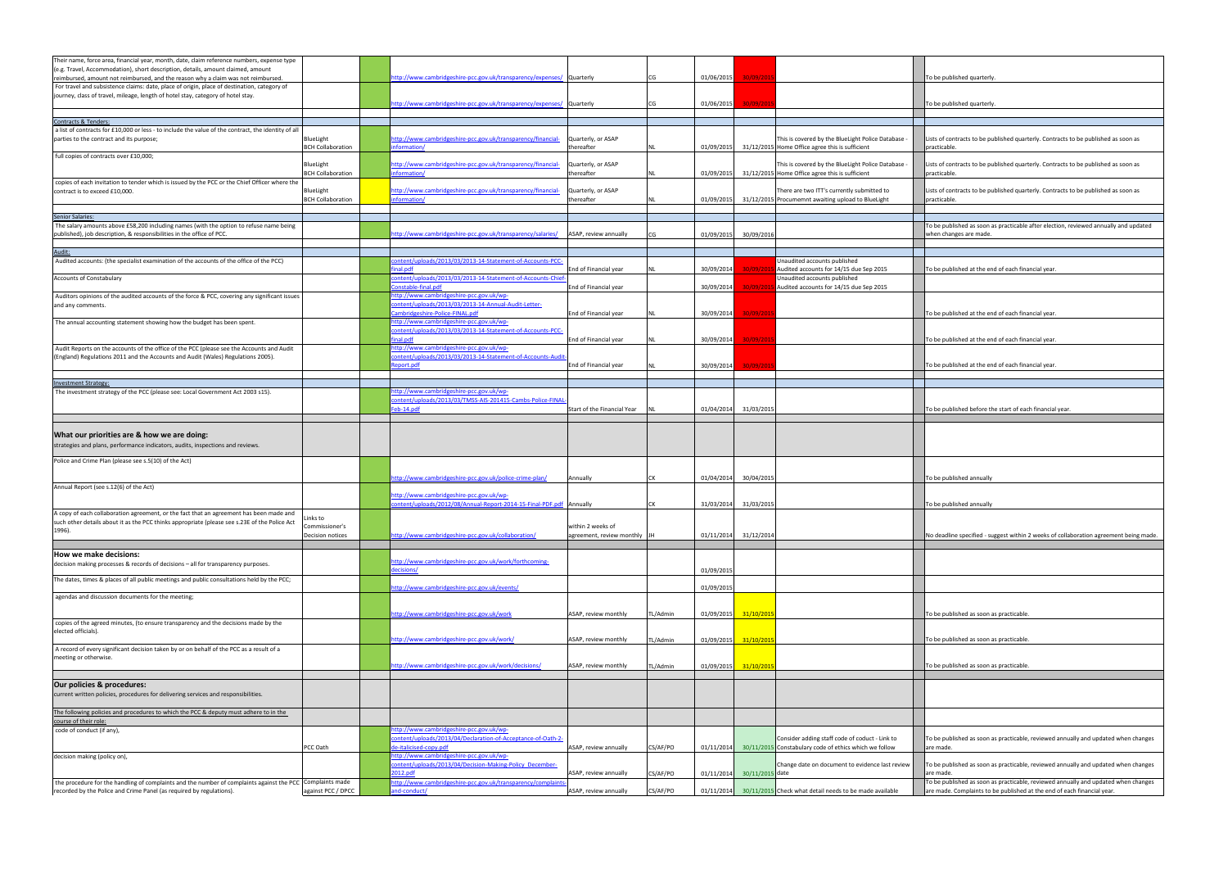| Their name, force area, financial year, month, date, claim reference numbers, expense type                                                                                    |                                       |                                                                                                        |                                                   |          |            |                 |                                                                                                          |                                                                                                    |
|-------------------------------------------------------------------------------------------------------------------------------------------------------------------------------|---------------------------------------|--------------------------------------------------------------------------------------------------------|---------------------------------------------------|----------|------------|-----------------|----------------------------------------------------------------------------------------------------------|----------------------------------------------------------------------------------------------------|
| (e.g. Travel, Accommodation), short description, details, amount claimed, amount<br>reimbursed, amount not reimbursed, and the reason why a claim was not reimbursed.         |                                       | http://www.cambridgeshire-pcc.gov.uk/transparency/expenses/ Quarterly                                  |                                                   | CG       | 01/06/2015 | 30/09/201       |                                                                                                          | To be published quarterly.                                                                         |
| For travel and subsistence claims: date, place of origin, place of destination, category of                                                                                   |                                       |                                                                                                        |                                                   |          |            |                 |                                                                                                          |                                                                                                    |
| journey, class of travel, mileage, length of hotel stay, category of hotel stay.                                                                                              |                                       |                                                                                                        |                                                   |          |            |                 |                                                                                                          |                                                                                                    |
|                                                                                                                                                                               |                                       | ttp://www.cambridgeshire-pcc.gov.uk/transparency/expenses/ Quarterly                                   |                                                   | CG       | 01/06/2015 | 30/09/201       |                                                                                                          | To be published quarterly                                                                          |
| Contracts & Tenders:                                                                                                                                                          |                                       |                                                                                                        |                                                   |          |            |                 |                                                                                                          |                                                                                                    |
| a list of contracts for £10,000 or less - to include the value of the contract, the identity of all                                                                           |                                       |                                                                                                        |                                                   |          |            |                 |                                                                                                          |                                                                                                    |
| parties to the contract and its purpose;                                                                                                                                      | BlueLight<br><b>BCH Collaboration</b> | http://www.cambridgeshire-pcc.gov.uk/transparency/financial-<br><i>iformation</i> /                    | Quarterly, or ASAP<br>hereafter:                  |          | 01/09/2015 |                 | This is covered by the BlueLight Police Database<br>31/12/2015 Home Office agree this is sufficient      | Lists of contracts to be published quarterly. Contracts to be published as soon as<br>practicable. |
| full copies of contracts over £10,000;                                                                                                                                        |                                       |                                                                                                        |                                                   |          |            |                 |                                                                                                          |                                                                                                    |
|                                                                                                                                                                               | BlueLight                             | http://www.cambridgeshire-pcc.gov.uk/transparency/financial-                                           | Quarterly, or ASAP                                |          |            |                 | This is covered by the BlueLight Police Database -                                                       | Lists of contracts to be published quarterly. Contracts to be published as soon as                 |
|                                                                                                                                                                               | <b>BCH Collaboration</b>              | <i>iformation/</i>                                                                                     | thereafter                                        |          | 01/09/2015 |                 | 31/12/2015 Home Office agree this is sufficient                                                          | practicable.                                                                                       |
| copies of each invitation to tender which is issued by the PCC or the Chief Officer where the<br>contract is to exceed £10,000.                                               | BlueLight                             | http://www.cambridgeshire-pcc.gov.uk/transparency/financial-                                           | Quarterly, or ASAP                                |          |            |                 | There are two ITT's currently submitted to                                                               | Lists of contracts to be published quarterly. Contracts to be published as soon as                 |
|                                                                                                                                                                               | <b>BCH Collaboration</b>              | <i>nformation/</i>                                                                                     | thereafter                                        |          | 01/09/2015 |                 | 31/12/2015 Procumemnt awaiting upload to BlueLight                                                       | practicable.                                                                                       |
|                                                                                                                                                                               |                                       |                                                                                                        |                                                   |          |            |                 |                                                                                                          |                                                                                                    |
| <b>Senior Salaries:</b><br>The salary amounts above £58,200 including names (with the option to refuse name being                                                             |                                       |                                                                                                        |                                                   |          |            |                 |                                                                                                          | To be published as soon as practicable after election, reviewed annually and updated               |
| published), job description, & responsibilities in the office of PCC.                                                                                                         |                                       | ttp://www.cambridgeshire-pcc.gov.uk/transparency/salaries/                                             | ASAP, review annually                             |          | 01/09/2015 | 30/09/2016      |                                                                                                          | when changes are made.                                                                             |
|                                                                                                                                                                               |                                       |                                                                                                        |                                                   |          |            |                 |                                                                                                          |                                                                                                    |
| <u> Audit:</u>                                                                                                                                                                |                                       |                                                                                                        |                                                   |          |            |                 |                                                                                                          |                                                                                                    |
| Audited accounts: (the specialist examination of the accounts of the office of the PCC)                                                                                       |                                       | ontent/uploads/2013/03/2013-14-Statement-of-Accounts-PCC-<br>nal.pdf                                   | End of Financial year                             |          | 30/09/2014 | 30/09/201       | Unaudited accounts published<br>Audited accounts for 14/15 due Sep 2015                                  | To be published at the end of each financial year.                                                 |
| <b>Accounts of Constabulary</b>                                                                                                                                               |                                       | ontent/uploads/2013/03/2013-14-Statement-of-Accounts-Chief                                             |                                                   |          |            |                 | Unaudited accounts published                                                                             |                                                                                                    |
|                                                                                                                                                                               |                                       | onstable-final.pdf                                                                                     | End of Financial year                             |          | 30/09/2014 | 30/09/201       | Audited accounts for 14/15 due Sep 2015                                                                  |                                                                                                    |
| Auditors opinions of the audited accounts of the force & PCC, covering any significant issues                                                                                 |                                       | ttp://www.cambridgeshire-pcc.gov.uk/wp-<br>ontent/uploads/2013/03/2013-14-Annual-Audit-Letter-         |                                                   |          |            |                 |                                                                                                          |                                                                                                    |
| and any comments.                                                                                                                                                             |                                       | Cambridgeshire-Police-FINAL.pdf                                                                        | End of Financial year                             |          | 30/09/2014 | 30/09/201       |                                                                                                          | To be published at the end of each financial year.                                                 |
| The annual accounting statement showing how the budget has been spent.                                                                                                        |                                       | ttp://www.cambridgeshire-pcc.gov.uk/wp-                                                                |                                                   |          |            |                 |                                                                                                          |                                                                                                    |
|                                                                                                                                                                               |                                       | content/uploads/2013/03/2013-14-Statement-of-Accounts-PCC-                                             |                                                   |          |            |                 |                                                                                                          |                                                                                                    |
|                                                                                                                                                                               |                                       | inal.pdf                                                                                               | End of Financial year                             |          | 30/09/2014 | 30/09/201       |                                                                                                          | To be published at the end of each financial year                                                  |
| Audit Reports on the accounts of the office of the PCC (please see the Accounts and Audit<br>(England) Regulations 2011 and the Accounts and Audit (Wales) Regulations 2005). |                                       | ttp://www.cambridgeshire-pcc.gov.uk/wp-<br>ontent/uploads/2013/03/2013-14-Statement-of-Accounts-Audit  |                                                   |          |            |                 |                                                                                                          |                                                                                                    |
|                                                                                                                                                                               |                                       | eport.pdf                                                                                              | End of Financial year                             |          | 30/09/2014 | 30/09/201       |                                                                                                          | To be published at the end of each financial year                                                  |
|                                                                                                                                                                               |                                       |                                                                                                        |                                                   |          |            |                 |                                                                                                          |                                                                                                    |
| <b>Investment Strategy:</b><br>The investment strategy of the PCC (please see: Local Government Act 2003 s15).                                                                |                                       | ttp://www.cambridgeshire-pcc.gov.uk/wp-                                                                |                                                   |          |            |                 |                                                                                                          |                                                                                                    |
|                                                                                                                                                                               |                                       | ontent/uploads/2013/03/TMSS-AIS-201415-Cambs-Police-FINA                                               |                                                   |          |            |                 |                                                                                                          |                                                                                                    |
|                                                                                                                                                                               |                                       | eb-14.pdf                                                                                              | Start of the Financial Year                       |          | 01/04/2014 | 31/03/2015      |                                                                                                          | To be published before the start of each financial year                                            |
|                                                                                                                                                                               |                                       |                                                                                                        |                                                   |          |            |                 |                                                                                                          |                                                                                                    |
| What our priorities are & how we are doing:                                                                                                                                   |                                       |                                                                                                        |                                                   |          |            |                 |                                                                                                          |                                                                                                    |
| strategies and plans, performance indicators, audits, inspections and reviews.                                                                                                |                                       |                                                                                                        |                                                   |          |            |                 |                                                                                                          |                                                                                                    |
|                                                                                                                                                                               |                                       |                                                                                                        |                                                   |          |            |                 |                                                                                                          |                                                                                                    |
| Police and Crime Plan (please see s.5(10) of the Act)                                                                                                                         |                                       |                                                                                                        |                                                   |          |            |                 |                                                                                                          |                                                                                                    |
|                                                                                                                                                                               |                                       | /ttp://www.cambridgeshire-pcc.gov.uk/police-crime-plan                                                 | Annually                                          | CK       | 01/04/2014 | 30/04/2015      |                                                                                                          | To be published annually                                                                           |
| Annual Report (see s.12(6) of the Act)                                                                                                                                        |                                       |                                                                                                        |                                                   |          |            |                 |                                                                                                          |                                                                                                    |
|                                                                                                                                                                               |                                       | http://www.cambridgeshire-pcc.gov.uk/wp-                                                               |                                                   |          |            |                 |                                                                                                          |                                                                                                    |
| A copy of each collaboration agreement, or the fact that an agreement has been made and                                                                                       |                                       | ontent/uploads/2012/08/Annual-Report-2014-15-Final-PDF.pdf Annually                                    |                                                   | СK       | 31/03/2014 | 31/03/2015      |                                                                                                          | To be published annually                                                                           |
| such other details about it as the PCC thinks appropriate (please see s.23E of the Police Act                                                                                 | hks to                                |                                                                                                        |                                                   |          |            |                 |                                                                                                          |                                                                                                    |
| 1996).                                                                                                                                                                        | Commissioner's<br>Decision notices    | http://www.cambridgeshire-pcc.gov.uk/collaboration/                                                    | within 2 weeks of<br>agreement, review monthly JH |          | 01/11/2014 | 31/12/201       |                                                                                                          | No deadline specified - suggest within 2 weeks of collaboration agreement being made               |
|                                                                                                                                                                               |                                       |                                                                                                        |                                                   |          |            |                 |                                                                                                          |                                                                                                    |
| How we make decisions:                                                                                                                                                        |                                       |                                                                                                        |                                                   |          |            |                 |                                                                                                          |                                                                                                    |
| decision making processes & records of decisions - all for transparency purposes.                                                                                             |                                       | http://www.cambridgeshire-pcc.gov.uk/work/forthcoming-                                                 |                                                   |          |            |                 |                                                                                                          |                                                                                                    |
| The dates, times & places of all public meetings and public consultations held by the PCC;                                                                                    |                                       | ecisions/                                                                                              |                                                   |          | 01/09/2015 |                 |                                                                                                          |                                                                                                    |
|                                                                                                                                                                               |                                       | http://www.cambridgeshire-pcc.gov.uk/events/                                                           |                                                   |          | 01/09/2015 |                 |                                                                                                          |                                                                                                    |
| agendas and discussion documents for the meeting;                                                                                                                             |                                       |                                                                                                        |                                                   |          |            |                 |                                                                                                          |                                                                                                    |
|                                                                                                                                                                               |                                       | <u>ttp://www.cambridgeshire-pcc.gov.uk/work</u>                                                        | ASAP, review monthly                              | TL/Admin | 01/09/2015 | 31/10/201       |                                                                                                          | To be published as soon as practicable.                                                            |
| copies of the agreed minutes, (to ensure transparency and the decisions made by the                                                                                           |                                       |                                                                                                        |                                                   |          |            |                 |                                                                                                          |                                                                                                    |
| elected officials).                                                                                                                                                           |                                       |                                                                                                        |                                                   |          |            |                 |                                                                                                          |                                                                                                    |
| A record of every significant decision taken by or on behalf of the PCC as a result of a                                                                                      |                                       | http://www.cambridgeshire-pcc.gov.uk/work/                                                             | ASAP, review monthly                              | TL/Admin | 01/09/2015 | 31/10/2015      |                                                                                                          | To be published as soon as practicable.                                                            |
| meeting or otherwise.                                                                                                                                                         |                                       |                                                                                                        |                                                   |          |            |                 |                                                                                                          |                                                                                                    |
|                                                                                                                                                                               |                                       | http://www.cambridgeshire-pcc.gov.uk/work/decisions/                                                   | ASAP, review monthly                              | TL/Admin | 01/09/2015 | 31/10/2015      |                                                                                                          | To be published as soon as practicable.                                                            |
|                                                                                                                                                                               |                                       |                                                                                                        |                                                   |          |            |                 |                                                                                                          |                                                                                                    |
| Our policies & procedures:                                                                                                                                                    |                                       |                                                                                                        |                                                   |          |            |                 |                                                                                                          |                                                                                                    |
| current written policies, procedures for delivering services and responsibilities.                                                                                            |                                       |                                                                                                        |                                                   |          |            |                 |                                                                                                          |                                                                                                    |
| The following policies and procedures to which the PCC & deputy must adhere to in the                                                                                         |                                       |                                                                                                        |                                                   |          |            |                 |                                                                                                          |                                                                                                    |
| course of their role:                                                                                                                                                         |                                       |                                                                                                        |                                                   |          |            |                 |                                                                                                          |                                                                                                    |
| code of conduct (if any),                                                                                                                                                     |                                       | ttp://www.cambridgeshire-pcc.gov.uk/wp-<br>ontent/uploads/2013/04/Declaration-of-Acceptance-of-Oath-2- |                                                   |          |            |                 |                                                                                                          |                                                                                                    |
|                                                                                                                                                                               | PCC Oath                              | e-italicised-copy.pdf                                                                                  | ASAP, review annually                             | CS/AF/PO | 01/11/2014 |                 | Consider adding staff code of coduct - Link to<br>30/11/2015 Constabulary code of ethics which we follow | To be published as soon as practicable, reviewed annually and updated when changes<br>are made.    |
| decision making (policy on),                                                                                                                                                  |                                       | ttp://www.cambridgeshire-pcc.gov.uk/wp-                                                                |                                                   |          |            |                 |                                                                                                          |                                                                                                    |
|                                                                                                                                                                               |                                       | content/uploads/2013/04/Decision-Making-Policy_December-                                               |                                                   |          |            |                 | Change date on document to evidence last review                                                          | To be published as soon as practicable, reviewed annually and updated when changes                 |
| the procedure for the handling of complaints and the number of complaints against the PCC Complaints made                                                                     |                                       | 012.pdf<br>ttp://www.cambridgeshire-pcc.gov.uk/transparency/complaint                                  | ASAP, review annually                             | CS/AF/PO | 01/11/2014 | 30/11/2015 date |                                                                                                          | are made.<br>To be published as soon as practicable, reviewed annually and updated when changes    |
| recorded by the Police and Crime Panel (as required by regulations).                                                                                                          | against PCC / DPCC                    | and-conduct/                                                                                           | ASAP, review annually                             | CS/AF/PO |            |                 | 01/11/2014 30/11/2015 Check what detail needs to be made available                                       | are made. Complaints to be published at the end of each financial year.                            |
|                                                                                                                                                                               |                                       |                                                                                                        |                                                   |          |            |                 |                                                                                                          |                                                                                                    |

| To be published quarterly.                                                                                     |
|----------------------------------------------------------------------------------------------------------------|
|                                                                                                                |
| To be published quarterly.                                                                                     |
|                                                                                                                |
|                                                                                                                |
| Lists of contracts to be published quarterly. Contracts to be published as soon as<br>practicable.             |
| Lists of contracts to be published quarterly. Contracts to be published as soon as<br>practicable.             |
| Lists of contracts to be published quarterly. Contracts to be published as soon as<br>practicable.             |
|                                                                                                                |
| To be published as soon as practicable after election, reviewed annually and updated<br>when changes are made. |
|                                                                                                                |
| To be published at the end of each financial year.                                                             |
|                                                                                                                |
| To be published at the end of each financial year.                                                             |
| To be published at the end of each financial year.                                                             |
|                                                                                                                |
| To be published at the end of each financial year.                                                             |
|                                                                                                                |
|                                                                                                                |
| To be published before the start of each financial year.                                                       |
|                                                                                                                |
|                                                                                                                |
| To be published annually                                                                                       |
|                                                                                                                |
| To be published annually                                                                                       |
| No deadline specified - suggest within 2 weeks of collaboration agreement being made.                          |
|                                                                                                                |
|                                                                                                                |
|                                                                                                                |
|                                                                                                                |
| To be published as soon as practicable.                                                                        |
| To be published as soon as practicable.                                                                        |
| To be published as soon as practicable.                                                                        |
|                                                                                                                |
|                                                                                                                |
|                                                                                                                |
| To be published as soon as practicable, reviewed annually and updated when changes<br>are made.                |
| To be published as soon as practicable, reviewed annually and updated when changes<br>are made.                |
| To be published as soon as practicable, reviewed annually and updated when changes                             |
| are made. Complaints to be published at the end of each financial year.                                        |